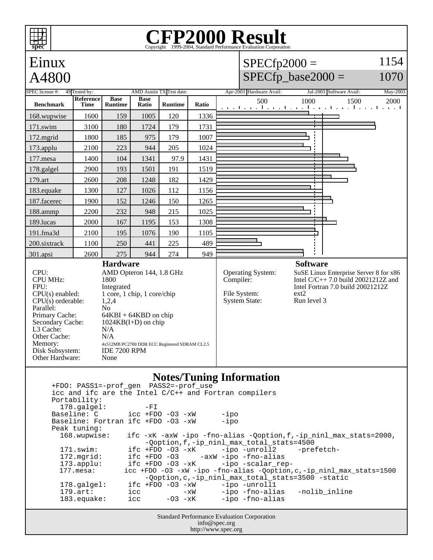## **EP2000 Result**

Copyright ©1999-2004, Standard



info@spec.org http://www.spec.org